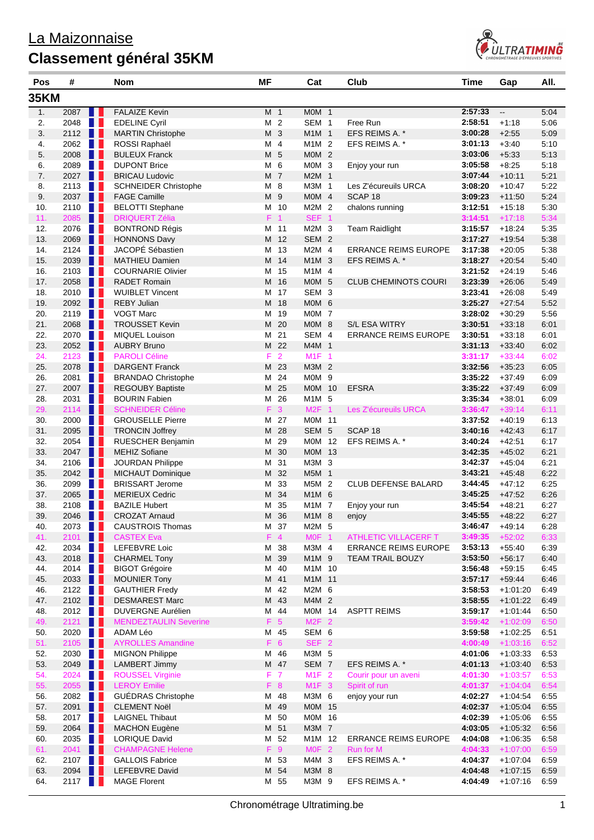## La Maizonnaise **Classement général 35KM**



| Pos        | #    |                   | <b>Nom</b>                               | ΜF |    |                  | Cat              | Club                        | <b>Time</b>        | Gap                      | AII.         |
|------------|------|-------------------|------------------------------------------|----|----|------------------|------------------|-----------------------------|--------------------|--------------------------|--------------|
| 35KM       |      |                   |                                          |    |    |                  |                  |                             |                    |                          |              |
| 1.         | 2087 |                   | <b>FALAIZE Kevin</b>                     |    |    | M <sub>1</sub>   | MOM 1            |                             | 2:57:33            | $\overline{\phantom{a}}$ | 5:04         |
| 2.         | 2048 | n p               | <b>EDELINE Cyril</b>                     |    | М  | $\overline{2}$   | SEM <sub>1</sub> | Free Run                    | 2:58:51            | $+1:18$                  | 5:06         |
| 3.         | 2112 | H H               | <b>MARTIN Christophe</b>                 |    |    | M 3              | M1M 1            | EFS REIMS A. *              | 3:00:28            | $+2:55$                  | 5:09         |
| 4.         | 2062 | Ш<br>H.           | ROSSI Raphaël                            |    | м  | $\overline{4}$   | M1M <sub>2</sub> | EFS REIMS A. *              | 3:01:13            | $+3:40$                  | 5:10         |
| 5.         | 2008 | ш<br>ш            | <b>BULEUX Franck</b>                     |    |    | M 5              | $MOM$ 2          |                             | 3:03:06            | $+5:33$                  | 5:13         |
| 6.         | 2089 | n p               | <b>DUPONT Brice</b>                      |    | м  | 6                | MOM <sub>3</sub> | Enjoy your run              | 3:05:58            | $+8:25$                  | 5:18         |
| 7.         | 2027 | Ш                 | <b>BRICAU Ludovic</b>                    |    |    | M 7              | M2M 1            |                             | 3:07:44            | $+10:11$                 | 5:21         |
| 8.         | 2113 |                   | <b>SCHNEIDER Christophe</b>              |    | м  | 8                | M3M 1            | Les Z'écureuils URCA        | 3:08:20            | $+10.47$                 | 5:22         |
| 9.         | 2037 | ш<br>Ш            | <b>FAGE Camille</b>                      |    | M  | 9                | MOM 4            | SCAP <sub>18</sub>          | 3:09:23            | $+11:50$                 | 5:24         |
| 10.        | 2110 | ш<br>Ш            | <b>BELOTTI Stephane</b>                  |    |    | M 10             | M2M 2            | chalons running             | 3:12:51            | $+15:18$                 | 5:30         |
| 11.        | 2085 | H H               | <b>DRIQUERT Zélia</b>                    |    | F. | $\overline{1}$   | SEF <sub>1</sub> |                             | 3:14:51            | $+17:18$                 | 5:34         |
| 12.        | 2076 | <b>TELESCO</b>    | <b>BONTROND Régis</b>                    |    |    | M 11             | M2M <sub>3</sub> | <b>Team Raidlight</b>       | 3:15:57            | $+18:24$                 | 5:35         |
| 13.        | 2069 | Ш                 | <b>HONNONS Davy</b>                      |    | M  | 12               | SEM <sub>2</sub> |                             | 3:17:27            | $+19.54$                 | 5:38         |
| 14.        | 2124 | M H               | JACOPÉ Sébastien                         |    | м  | 13               | M2M 4            | <b>ERRANCE REIMS EUROPE</b> | 3:17:38            | $+20:05$                 | 5:38         |
| 15.        | 2039 | H H               | <b>MATHIEU Damien</b>                    | M  |    | 14               | $M1M$ 3          | EFS REIMS A. *              | 3:18:27            | $+20:54$                 | 5:40         |
| 16.        | 2103 | H                 | <b>COURNARIE Olivier</b>                 |    | м  | 15               | $M1M$ 4          |                             | 3:21:52            | $+24:19$                 | 5:46         |
| 17.        | 2058 |                   | <b>RADET Romain</b>                      |    | M  | 16               | MOM 5            | <b>CLUB CHEMINOTS COURI</b> | 3:23:39            | $+26:06$                 | 5:49         |
| 18.        | 2010 | ш<br>Ш            | <b>WUIBLET Vincent</b>                   | м  |    | 17               | SEM <sub>3</sub> |                             | 3:23:41            | $+26:08$                 | 5:49         |
| 19.        | 2092 | H H               | <b>REBY Julian</b>                       | M  |    | 18               | MOM <sub>6</sub> |                             | 3:25:27            | $+27:54$                 | 5:52         |
| 20.        | 2119 | n L               | <b>VOGT Marc</b>                         | м  |    | 19               | MOM <sub>7</sub> |                             | 3:28:02            | $+30:29$                 | 5:56         |
| 21.        | 2068 | Ш                 | <b>TROUSSET Kevin</b>                    |    | м  | 20               | MOM <sub>8</sub> | S/L ESA WITRY               | 3:30:51            | $+33:18$                 | 6:01         |
| 22.        | 2070 |                   | <b>MIQUEL Louison</b>                    | M  |    | 21               | SEM 4            | <b>ERRANCE REIMS EUROPE</b> | 3:30:51            | $+33:18$                 | 6:01         |
| 23.        | 2052 | . .               | <b>AUBRY Bruno</b>                       |    | M  | 22               | M4M 1            |                             | 3:31:13            | $+33:40$                 | 6:02         |
| 24.        | 2123 | M II              | <b>PAROLI Céline</b>                     |    | F  | $\overline{2}$   | $M1F$ 1          |                             | 3:31:17            | $+33:44$                 | 6:02         |
| 25.        | 2078 | ш                 | <b>DARGENT Franck</b>                    |    |    | M 23             | M3M 2            |                             | 3:32:56            | $+35:23$                 | 6:05         |
| 26.        | 2081 | H.                | <b>BRANDAO Christophe</b>                | М  |    | 24               | MOM <sub>9</sub> |                             | 3:35:22            | $+37:49$                 | 6:09         |
| 27.        | 2007 | ш<br>Ш            | <b>REGOUBY Baptiste</b>                  |    | M  | 25               | M0M 10           | <b>EFSRA</b>                | 3:35:22            | $+37:49$                 | 6:09         |
| 28.        | 2031 | n p               | <b>BOURIN Fabien</b>                     | м  |    | 26               | M1M 5            |                             | 3:35:34            | $+38:01$                 | 6:09         |
| 29.        | 2114 | n I               | <b>SCHNEIDER Céline</b>                  |    | F  | $\mathbf{3}$     | M2F 1            | Les Z'écureuils URCA        | 3:36:47            | $+39:14$                 | 6:11         |
| 30.        | 2000 | Ш                 | <b>GROUSELLE Pierre</b>                  |    | м  | 27               | M0M 11           |                             | 3:37:52            | $+40.19$                 | 6:13         |
| 31.        | 2095 |                   | <b>TRONCIN Joffrey</b>                   |    | м  | 28               | SEM 5            | SCAP <sub>18</sub>          | 3:40:16            | $+42:43$                 | 6:17         |
| 32.        | 2054 | Ш<br>Ш            | RUESCHER Benjamin                        |    | м  | 29               | M0M 12           | EFS REIMS A. *              | 3:40:24            | $+42:51$                 | 6:17         |
| 33.        | 2047 | H H               | <b>MEHIZ Sofiane</b>                     |    | M  | 30               | M0M 13           |                             | 3:42:35            | $+45:02$                 | 6:21         |
| 34.        | 2106 | Ш                 | JOURDAN Philippe                         |    | м  | 31               | M3M 3            |                             | 3:42:37            | $+45:04$                 | 6:21         |
| 35.        | 2042 | Ш                 | <b>MICHAUT Dominique</b>                 | M  |    | 32               | M5M 1            |                             | 3:43:21            | $+45:48$                 | 6:22         |
| 36.        | 2099 | Ш<br>н            | <b>BRISSART Jerome</b>                   | м  |    | 33               | M5M 2            | <b>CLUB DEFENSE BALARD</b>  | 3:44:45            | $+47:12$                 | 6:25         |
| 37.        | 2065 | H H               | <b>MERIEUX Cedric</b>                    | M  |    | 34               | M1M 6            |                             | 3:45:25            | $+47:52$                 | 6:26         |
| 38.        | 2108 |                   | <b>BAZILE Hubert</b>                     | м  |    | 35               | M1M 7            | Enjoy your run              | 3:45:54            | $+48.21$                 | 6:27         |
| 39.        | 2046 |                   | <b>CROZAT Arnaud</b>                     |    | м  | 36               | M1M 8            | enjoy                       | 3:45:55            | $+48:22$                 | 6:27         |
| 40.        | 2073 | F.                | <b>CAUSTROIS Thomas</b>                  | M  |    | 37               | M2M 5            |                             | 3:46:47            | $+49:14$                 | 6:28         |
| 41.        | 2101 | ш                 | <b>CASTEX Eva</b>                        |    |    | $F$ 4            | MOF <sub>1</sub> | <b>ATHLETIC VILLACERF T</b> | 3:49:35            | $+52:02$                 | 6:33         |
| 42.        | 2034 | <b>TELESCO</b>    | LEFEBVRE Loic                            | M  |    | 38               | M3M 4            | <b>ERRANCE REIMS EUROPE</b> | 3:53:13            | $+55:40$                 | 6:39         |
| 43.        | 2018 | . .               | <b>CHARMEL Tony</b>                      |    | М  | 39               | M1M 9            | <b>TEAM TRAIL BOUZY</b>     | 3:53:50            | $+56:17$                 | 6:40         |
| 44.        | 2014 | n p               | <b>BIGOT Grégoire</b>                    | М  |    | 40               | M1M 10           |                             | 3:56:48            | $+59:15$                 | 6:45         |
| 45.        | 2033 | . .               | <b>MOUNIER Tony</b>                      |    |    | M 41             | M1M 11           |                             | 3:57:17            | $+59.44$                 | 6:46         |
| 46.        | 2122 | H.                | <b>GAUTHIER Fredy</b>                    | М  |    | 42               | M2M 6            |                             | 3:58:53            | $+1:01:20$               | 6:49         |
| 47.        | 2102 | a ka              | <b>DESMAREST Marc</b>                    |    |    | M 43             | M4M 2            |                             | 3:58:55            | $+1:01:22$               | 6:49         |
| 48.        | 2012 | H D               | <b>DUVERGNE Aurélien</b>                 |    | М  | 44               | M0M 14           | <b>ASPTT REIMS</b>          | 3:59:17            | $+1:01:44$               | 6:50         |
| 49.        | 2121 | I I I             | <b>MENDEZTAULIN Severine</b>             |    |    | F <sub>5</sub>   | $M2F$ 2          |                             | 3:59:42            | $+1:02:09$               | 6:50         |
| 50.        | 2020 | n p               | ADAM Léo                                 |    |    | M 45             | SEM 6            |                             | 3:59:58            | $+1:02:25$               | 6:51         |
| 51.        | 2105 | . .               | <b>AYROLLES Amandine</b>                 |    |    | F 6              | SEF <sub>2</sub> |                             | 4:00:49            | $+1:03:16$               | 6:52         |
| 52.        | 2030 | <b>TELESCO</b>    | <b>MIGNON Philippe</b>                   |    |    | M 46             | M3M 5            |                             | 4:01:06            | $+1:03:33$               | 6:53         |
| 53.        | 2049 | n p               | LAMBERT Jimmy                            |    |    | M 47             | SEM 7            | EFS REIMS A. *              | 4:01:13            | $+1:03:40$               | 6:53         |
| 54.        | 2024 | T I               | <b>ROUSSEL Virginie</b>                  |    | F. | $\overline{7}$   | M1F 2            | Courir pour un aveni        | 4:01:30            | $+1:03:57$               | 6:53         |
| 55.        | 2055 | H                 | <b>LEROY Emilie</b>                      |    | F  | $\boldsymbol{8}$ | M1F 3            | Spirit of run               | 4:01:37            | $+1:04:04$               | 6:54         |
| 56.        | 2082 | n a               | GUÉDRAS Christophe                       |    |    | M 48             | M3M 6            | enjoy your run              | 4:02:27            | $+1:04:54$               | 6:55         |
| 57.        | 2091 | Ш                 | <b>CLEMENT Noël</b>                      |    | M  | 49               | M0M 15           |                             | 4:02:37            | $+1:05:04$               | 6:55         |
| 58.        | 2017 | H.                | <b>LAIGNEL Thibaut</b>                   | M  |    | 50               | M0M 16           |                             | 4:02:39            | $+1:05:06$               | 6:55         |
| 59.        | 2064 | H H               | <b>MACHON Eugène</b>                     |    | M  | 51               | M3M 7            |                             | 4:03:05            | $+1:05:32$               | 6:56         |
| 60.        | 2035 | n p               | <b>LORIQUE David</b>                     | M  |    | 52               | M1M 12           | <b>ERRANCE REIMS EUROPE</b> | 4:04:08            | $+1:06:35$               | 6:58         |
| 61.        | 2041 | a ka              | <b>CHAMPAGNE Helene</b>                  |    | F  | 9<br>53          | MOF <sub>2</sub> | Run for M                   | 4:04:33            | $+1:07:00$               | 6:59         |
| 62.<br>63. | 2107 | n 1<br>ш          | <b>GALLOIS Fabrice</b><br>LEFEBVRE David | M  | м  | 54               | M4M 3<br>M3M 8   | EFS REIMS A. *              | 4:04:37<br>4:04:48 | $+1:07:04$<br>$+1:07:15$ | 6:59<br>6:59 |
|            | 2094 | ш                 |                                          |    |    |                  |                  |                             | 4:04:49            |                          |              |
| 64.        | 2117 | <b>TELEVISION</b> | <b>MAGE Florent</b>                      |    |    | M 55             | M3M 9            | EFS REIMS A. *              |                    | $+1:07:16$               | 6:59         |